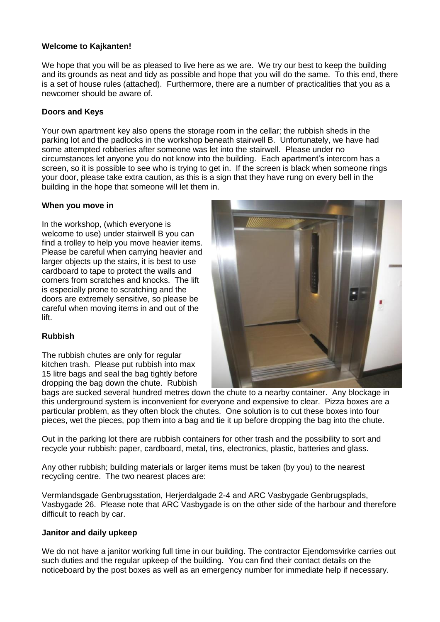## **Welcome to Kajkanten!**

We hope that you will be as pleased to live here as we are. We try our best to keep the building and its grounds as neat and tidy as possible and hope that you will do the same. To this end, there is a set of house rules (attached). Furthermore, there are a number of practicalities that you as a newcomer should be aware of.

# **Doors and Keys**

Your own apartment key also opens the storage room in the cellar; the rubbish sheds in the parking lot and the padlocks in the workshop beneath stairwell B. Unfortunately, we have had some attempted robberies after someone was let into the stairwell. Please under no circumstances let anyone you do not know into the building. Each apartment's intercom has a screen, so it is possible to see who is trying to get in. If the screen is black when someone rings your door, please take extra caution, as this is a sign that they have rung on every bell in the building in the hope that someone will let them in.

### **When you move in**

In the workshop, (which everyone is welcome to use) under stairwell B you can find a trolley to help you move heavier items. Please be careful when carrying heavier and larger objects up the stairs, it is best to use cardboard to tape to protect the walls and corners from scratches and knocks. The lift is especially prone to scratching and the doors are extremely sensitive, so please be careful when moving items in and out of the lift.



### **Rubbish**

The rubbish chutes are only for regular kitchen trash. Please put rubbish into max 15 litre bags and seal the bag tightly before dropping the bag down the chute. Rubbish

bags are sucked several hundred metres down the chute to a nearby container. Any blockage in this underground system is inconvenient for everyone and expensive to clear. Pizza boxes are a particular problem, as they often block the chutes. One solution is to cut these boxes into four pieces, wet the pieces, pop them into a bag and tie it up before dropping the bag into the chute.

Out in the parking lot there are rubbish containers for other trash and the possibility to sort and recycle your rubbish: paper, cardboard, metal, tins, electronics, plastic, batteries and glass.

Any other rubbish; building materials or larger items must be taken (by you) to the nearest recycling centre. The two nearest places are:

Vermlandsgade Genbrugsstation, Herjerdalgade 2-4 and ARC Vasbygade Genbrugsplads, Vasbygade 26. Please note that ARC Vasbygade is on the other side of the harbour and therefore difficult to reach by car.

### **Janitor and daily upkeep**

We do not have a janitor working full time in our building. The contractor Ejendomsvirke carries out such duties and the regular upkeep of the building*.* You can find their contact details on the noticeboard by the post boxes as well as an emergency number for immediate help if necessary.